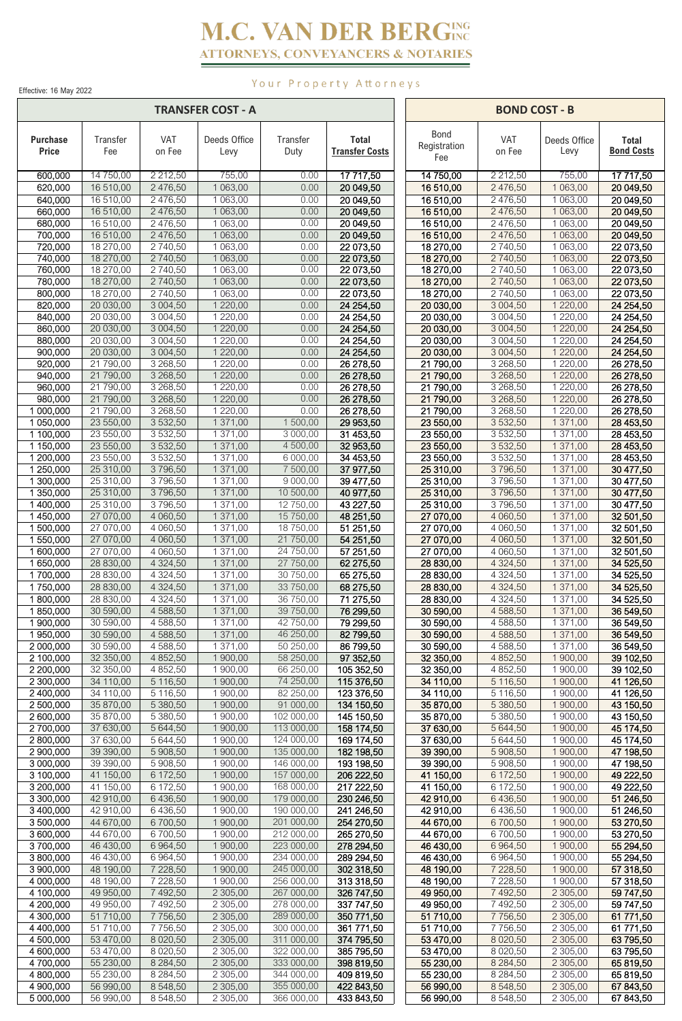# **M.C. VAN DER BERGING ATTORNEYS, CONVEYANCERS & NOTARIES**

Effective: 16 May 2022

 $\mathsf{r}$ 

# Your Property Attorneys

 $\overline{\phantom{a}}$ 

 $\overline{\phantom{a}}$ 

|                                 |                        |                            | <b>TRANSFER COST - A</b>     |                          |                                       |                             | <b>BOND COST - B</b><br><b>VAT</b><br><b>Total</b><br>Deeds Office<br>on Fee<br>Levy<br>2 2 1 2,50<br>755,00<br>1 063,00<br>2 476,50<br>2 476,50<br>1 063,00<br>20 049,50<br>2 476,50<br>1 063,00<br>20 049,50<br>2 476,50<br>1 063,00<br>2 476,50<br>1 063,00<br>2 740,50<br>1 063,00<br>22 073,50<br>2740,50<br>1 063,00<br>22 073,50<br>2 740,50<br>1 063,00<br>2 740,50<br>1 063,00<br>1 063,00<br>2 740,50<br>3 004,50<br>1 2 2 0 , 0 0<br>24 254,50<br>3 004,50<br>1 220,00<br>24 254,50<br>3 004,50<br>1 220,00<br>1 2 2 0 , 0 0<br>3 004,50<br>3 004,50<br>1 220,00<br>24 254,50<br>3 268,50<br>1 220,00<br>26 278,50<br>3 268,50<br>1 2 2 0 , 0 0<br>3 268,50<br>1 220,00<br>3 268,50<br>1 2 2 0 , 0 0<br>3 2 68,50<br>1 220,00<br>26 278,50<br>3 532,50<br>1 371,00<br>28 453,50<br>3 532,50<br>1 371,00<br>3 532,50<br>1 371,00 |                        |                        |
|---------------------------------|------------------------|----------------------------|------------------------------|--------------------------|---------------------------------------|-----------------------------|--------------------------------------------------------------------------------------------------------------------------------------------------------------------------------------------------------------------------------------------------------------------------------------------------------------------------------------------------------------------------------------------------------------------------------------------------------------------------------------------------------------------------------------------------------------------------------------------------------------------------------------------------------------------------------------------------------------------------------------------------------------------------------------------------------------------------------------------|------------------------|------------------------|
| <b>Purchase</b><br><b>Price</b> | Transfer<br>Fee        | VAT<br>on Fee              | Deeds Office<br>Levy         | Transfer<br>Duty         | <b>Total</b><br><b>Transfer Costs</b> | Bond<br>Registration<br>Fee |                                                                                                                                                                                                                                                                                                                                                                                                                                                                                                                                                                                                                                                                                                                                                                                                                                            |                        | <b>Bond Costs</b>      |
| 600,000                         | 14 750,00              | 2 2 1 2,50                 | 755,00                       | 0.00                     | 17 717,50                             | 14 750,00                   |                                                                                                                                                                                                                                                                                                                                                                                                                                                                                                                                                                                                                                                                                                                                                                                                                                            |                        | 17 717,50              |
| 620,000                         | 16 510,00              | 2 476,50                   | 1 063,00                     | 0.00                     | 20 049,50                             | 16 510,00                   |                                                                                                                                                                                                                                                                                                                                                                                                                                                                                                                                                                                                                                                                                                                                                                                                                                            |                        | 20 049,50              |
| 640,000<br>660,000              | 16 510,00<br>16 510,00 | 2 476,50<br>2 476,50       | 1 063,00<br>1 063,00         | 0.00<br>0.00             | 20 049,50<br>20 049,50                | 16 510,00<br>16 510,00      |                                                                                                                                                                                                                                                                                                                                                                                                                                                                                                                                                                                                                                                                                                                                                                                                                                            |                        |                        |
| 680,000                         | 16 510,00              | 2 476,50                   | 1 063,00                     | 0.00                     | 20 049,50                             | 16 510,00                   |                                                                                                                                                                                                                                                                                                                                                                                                                                                                                                                                                                                                                                                                                                                                                                                                                                            |                        | 20 049,50              |
| 700,000                         | 16 510,00              | 2 4 7 6, 5 0               | 1 063,00                     | 0.00                     | 20 049,50                             | 16 510,00                   |                                                                                                                                                                                                                                                                                                                                                                                                                                                                                                                                                                                                                                                                                                                                                                                                                                            |                        | 20 049,50              |
| 720,000<br>740,000              | 18 270,00<br>18 270,00 | 2 740,50<br>2740,50        | 1 063,00<br>1 063,00         | 0.00<br>0.00             | 22 073,50<br>22 073,50                | 18 270,00<br>18 270,00      |                                                                                                                                                                                                                                                                                                                                                                                                                                                                                                                                                                                                                                                                                                                                                                                                                                            |                        |                        |
| 760,000                         | 18 270,00              | 2 740,50                   | 1 063,00                     | 0.00                     | 22 073,50                             | 18 270,00                   |                                                                                                                                                                                                                                                                                                                                                                                                                                                                                                                                                                                                                                                                                                                                                                                                                                            |                        | 22 073,50              |
| 780,000                         | 18 270,00              | 2740,50                    | 1 063,00                     | 0.00                     | 22 073,50                             | 18 270,00                   |                                                                                                                                                                                                                                                                                                                                                                                                                                                                                                                                                                                                                                                                                                                                                                                                                                            |                        | 22 073,50              |
| 800,000                         | 18 270,00              | 2 740,50                   | 1 063,00                     | 0.00<br>0.00             | 22 073,50                             | 18 270,00                   |                                                                                                                                                                                                                                                                                                                                                                                                                                                                                                                                                                                                                                                                                                                                                                                                                                            |                        | 22 073,50              |
| 820,000<br>840,000              | 20 030,00<br>20 030,00 | 3 0 0 4,50<br>3 004,50     | 1 2 2 0 , 0 0<br>1 2 2 0 ,00 | 0.00                     | 24 254,50<br>24 254,50                | 20 030,00<br>20 030,00      |                                                                                                                                                                                                                                                                                                                                                                                                                                                                                                                                                                                                                                                                                                                                                                                                                                            |                        |                        |
| 860,000                         | 20 030,00              | 3 004,50                   | 1 2 2 0 , 0 0                | 0.00                     | 24 254,50                             | 20 030,00                   |                                                                                                                                                                                                                                                                                                                                                                                                                                                                                                                                                                                                                                                                                                                                                                                                                                            |                        | 24 254,50              |
| 880,000                         | 20 030,00              | 3 004,50                   | 1 220,00                     | 0.00                     | 24 254,50                             | 20 030,00                   |                                                                                                                                                                                                                                                                                                                                                                                                                                                                                                                                                                                                                                                                                                                                                                                                                                            |                        | 24 254,50              |
| 900,000<br>920,000              | 20 030,00<br>21 790,00 | 3 0 0 4,50<br>3 268,50     | 1 220,00<br>1 220,00         | 0.00<br>0.00             | 24 254,50<br>26 278,50                | 20 030,00<br>21 790,00      |                                                                                                                                                                                                                                                                                                                                                                                                                                                                                                                                                                                                                                                                                                                                                                                                                                            |                        |                        |
| 940,000                         | 21 790,00              | 3 2 68,50                  | 1 2 2 0 , 0 0                | 0.00                     | 26 278,50                             | 21 790,00                   |                                                                                                                                                                                                                                                                                                                                                                                                                                                                                                                                                                                                                                                                                                                                                                                                                                            |                        | 26 278,50              |
| 960,000                         | 21 790,00              | 3 268,50                   | 1 220,00                     | 0.00                     | 26 278,50                             | 21 790,00                   |                                                                                                                                                                                                                                                                                                                                                                                                                                                                                                                                                                                                                                                                                                                                                                                                                                            |                        | 26 278,50              |
| 980,000                         | 21 790,00              | 3 268,50                   | 1 2 2 0 ,00                  | 0.00                     | 26 278,50                             | 21 790,00                   |                                                                                                                                                                                                                                                                                                                                                                                                                                                                                                                                                                                                                                                                                                                                                                                                                                            |                        | 26 278,50              |
| 1 000,000<br>1 050,000          | 21 790,00<br>23 550,00 | 3 2 68,50<br>3 532,50      | 1220,00<br>1 371,00          | 0.00<br>1 500,00         | 26 278,50<br>29 953,50                | 21 790,00<br>23 550,00      |                                                                                                                                                                                                                                                                                                                                                                                                                                                                                                                                                                                                                                                                                                                                                                                                                                            |                        |                        |
| 1 100,000                       | 23 550,00              | 3 532,50                   | 1 371,00                     | 3 000,00                 | 31 453,50                             | 23 550,00                   |                                                                                                                                                                                                                                                                                                                                                                                                                                                                                                                                                                                                                                                                                                                                                                                                                                            |                        | 28 453,50              |
| 1 150,000                       | 23 550,00              | 3 532,50                   | 1 371,00                     | 4 500,00                 | 32 953,50                             | 23 550,00                   |                                                                                                                                                                                                                                                                                                                                                                                                                                                                                                                                                                                                                                                                                                                                                                                                                                            |                        | 28 453,50              |
| 1 200,000<br>1 250,000          | 23 550,00              | 3 532,50                   | 1 371,00<br>1371,00          | 6 000,00                 | 34 453,50                             | 23 550,00                   | 3 532,50                                                                                                                                                                                                                                                                                                                                                                                                                                                                                                                                                                                                                                                                                                                                                                                                                                   | 1 371,00               | 28 453,50              |
| 1 300,000                       | 25 310,00<br>25 310,00 | 3796,50<br>3796,50         | $\overline{1}371,00$         | 7 500,00<br>9 000,00     | 37 977,50<br>39 477,50                | 25 310,00<br>25 310,00      | 3796,50<br>3796,50                                                                                                                                                                                                                                                                                                                                                                                                                                                                                                                                                                                                                                                                                                                                                                                                                         | 1 371,00<br>1 371,00   | 30 477,50<br>30 477,50 |
| 1 350,000                       | 25 310,00              | 3796,50                    | 1 371,00                     | 10 500,00                | 40 977,50                             | 25 310,00                   | 3796,50                                                                                                                                                                                                                                                                                                                                                                                                                                                                                                                                                                                                                                                                                                                                                                                                                                    | 1 371,00               | 30 477,50              |
| 1400,000                        | 25 310,00              | 3796,50                    | 1 371,00                     | 12 750,00                | 43 227,50                             | 25 310,00                   | 3796,50                                                                                                                                                                                                                                                                                                                                                                                                                                                                                                                                                                                                                                                                                                                                                                                                                                    | 1 371,00               | 30 477,50              |
| 1450,000<br>1 500,000           | 27 070,00<br>27 070,00 | 4 060,50<br>4 060,50       | 1 371,00<br>1 371,00         | 15 750,00<br>18 750,00   | 48 251,50<br>51 251,50                | 27 070,00<br>27 070,00      | 4 060,50<br>4 060,50                                                                                                                                                                                                                                                                                                                                                                                                                                                                                                                                                                                                                                                                                                                                                                                                                       | 1 371,00<br>1 371,00   | 32 501,50<br>32 501,50 |
| 1550,000                        | 27 070,00              | 4 060,50                   | 1 371,00                     | 21 750,00                | 54 251,50                             | 27 070,00                   | 4 060,50                                                                                                                                                                                                                                                                                                                                                                                                                                                                                                                                                                                                                                                                                                                                                                                                                                   | 1 371,00               | 32 501,50              |
| 1 600,000                       | 27 070,00              | 4 060,50                   | 1371,00                      | 24 750,00                | 57 251,50                             | 27 070,00                   | 4 060,50                                                                                                                                                                                                                                                                                                                                                                                                                                                                                                                                                                                                                                                                                                                                                                                                                                   | 1 371,00               | 32 501,50              |
| 1650,000                        | 28 830,00              | 4 3 2 4 , 5 0              | 1 371,00                     | 27 750,00                | 62 275,50                             | 28 830,00                   | 4 3 2 4 , 5 0                                                                                                                                                                                                                                                                                                                                                                                                                                                                                                                                                                                                                                                                                                                                                                                                                              | 1 371,00               | 34 525,50              |
| 1700,000<br>1750,000            | 28 830,00<br>28 830,00 | 4 3 2 4 , 5 0<br>4 3 24,50 | 1 371,00<br>1 371,00         | 30 750,00<br>33 750,00   | 65 275,50<br>68 275,50                | 28 830,00<br>28 830,00      | 4324,50<br>4 3 2 4 , 5 0                                                                                                                                                                                                                                                                                                                                                                                                                                                                                                                                                                                                                                                                                                                                                                                                                   | 1371,00<br>1 371,00    | 34 525,50<br>34 525,50 |
| 1800,000                        | 28 830,00              | 4 3 2 4 , 5 0              | 1371,00                      | 36 750,00                | 71 275,50                             | 28 830,00                   | 4 3 2 4 , 5 0                                                                                                                                                                                                                                                                                                                                                                                                                                                                                                                                                                                                                                                                                                                                                                                                                              | 1 371,00               | 34 525,50              |
| 1850,000                        | 30 590,00              | 4 588,50                   | 1 371,00                     | 39 750,00                | 76 299,50                             | 30 590,00                   | 4 588,50                                                                                                                                                                                                                                                                                                                                                                                                                                                                                                                                                                                                                                                                                                                                                                                                                                   | 1 371,00               | 36 549,50              |
| 1900,000<br>1950,000            | 30 590,00              | 4 588,50<br>4 588,50       | 1 371,00                     | 42 750,00                | 79 299,50                             | 30 590,00<br>30 590,00      | 4 588,50                                                                                                                                                                                                                                                                                                                                                                                                                                                                                                                                                                                                                                                                                                                                                                                                                                   | 1 371,00               | 36 549,50              |
| 2 000,000                       | 30 590,00<br>30 590,00 | 4 588,50                   | 1 371,00<br>1 371,00         | 46 250,00<br>50 250,00   | 82 799,50<br>86 799,50                | 30 590,00                   | 4 588,50<br>4 588,50                                                                                                                                                                                                                                                                                                                                                                                                                                                                                                                                                                                                                                                                                                                                                                                                                       | 1 371,00<br>1 371,00   | 36 549,50<br>36 549,50 |
| 2 100,000                       | 32 350,00              | 4 852,50                   | 1 900.00                     | 58 250,00                | 97 352,50                             | 32 350,00                   | 4 852,50                                                                                                                                                                                                                                                                                                                                                                                                                                                                                                                                                                                                                                                                                                                                                                                                                                   | 1 900,00               | 39 102,50              |
| 2 200,000                       | 32 350,00              | 4 8 5 2,50                 | 1 900,00                     | 66 250,00                | 105 352,50                            | 32 350,00                   | 4 8 5 2,50                                                                                                                                                                                                                                                                                                                                                                                                                                                                                                                                                                                                                                                                                                                                                                                                                                 | 1 900,00               | 39 102,50              |
| 2 300,000<br>2 400,000          | 34 110,00<br>34 110,00 | 5 116,50<br>5 116,50       | 1 900,00<br>1 900,00         | 74 250,00<br>82 250,00   | 115 376,50<br>123 376,50              | 34 110,00<br>34 110,00      | 5 116,50<br>5 116,50                                                                                                                                                                                                                                                                                                                                                                                                                                                                                                                                                                                                                                                                                                                                                                                                                       | 1 900,00<br>1 900,00   | 41 126,50<br>41 126,50 |
| 2 500,000                       | 35 870,00              | 5 380,50                   | 1 900,00                     | 91 000,00                | 134 150,50                            | 35 870,00                   | 5 380,50                                                                                                                                                                                                                                                                                                                                                                                                                                                                                                                                                                                                                                                                                                                                                                                                                                   | 1 900,00               | 43 150,50              |
| 2 600,000                       | 35 870,00              | 5 380,50                   | 1 900,00                     | 102 000,00               | 145 150,50                            | 35 870,00                   | 5 380,50                                                                                                                                                                                                                                                                                                                                                                                                                                                                                                                                                                                                                                                                                                                                                                                                                                   | 1 900,00               | 43 150,50              |
| 2700,000                        | 37 630,00              | 5 644,50                   | 1 900,00                     | 113 000,00               | 158 174,50                            | 37 630,00                   | 5 644,50                                                                                                                                                                                                                                                                                                                                                                                                                                                                                                                                                                                                                                                                                                                                                                                                                                   | 1 900,00               | 45 174,50              |
| 2800,000<br>2 900,000           | 37 630,00<br>39 390,00 | 5 644,50<br>5 908,50       | 1900,00<br>1 900,00          | 124 000,00<br>135 000,00 | 169 174,50<br>182 198,50              | 37 630,00<br>39 390,00      | 5 644,50<br>5 908,50                                                                                                                                                                                                                                                                                                                                                                                                                                                                                                                                                                                                                                                                                                                                                                                                                       | 1 900,00<br>1 900,00   | 45 174,50<br>47 198,50 |
| 3 000,000                       | 39 390,00              | 5 908,50                   | 1 900,00                     | 146 000,00               | 193 198,50                            | 39 390,00                   | 5 908,50                                                                                                                                                                                                                                                                                                                                                                                                                                                                                                                                                                                                                                                                                                                                                                                                                                   | 1 900,00               | 47 198,50              |
| 3 100,000                       | 41 150,00              | 6 172,50                   | 1 900,00                     | 157 000,00               | 206 222,50                            | 41 150,00                   | 6 172,50                                                                                                                                                                                                                                                                                                                                                                                                                                                                                                                                                                                                                                                                                                                                                                                                                                   | 1 900,00               | 49 222,50              |
| 3 200,000<br>3 300,000          | 41 150,00<br>42 910,00 | 6 172,50<br>6 436,50       | 1 900,00<br>1 900,00         | 168 000,00<br>179 000,00 | 217 222,50                            | 41 150,00                   | 6 172,50<br>6 436,50                                                                                                                                                                                                                                                                                                                                                                                                                                                                                                                                                                                                                                                                                                                                                                                                                       | 1900,00<br>1 900,00    | 49 222,50              |
| 3 400,000                       | 42 910,00              | 6 436,50                   | 1 900,00                     | 190 000,00               | 230 246,50<br>241 246,50              | 42 910,00<br>42 910,00      | 6 436,50                                                                                                                                                                                                                                                                                                                                                                                                                                                                                                                                                                                                                                                                                                                                                                                                                                   | 1 900,00               | 51 246,50<br>51 246,50 |
| 3 500,000                       | 44 670,00              | 6 700,50                   | 1 900,00                     | 201 000,00               | 254 270,50                            | 44 670,00                   | 6700,50                                                                                                                                                                                                                                                                                                                                                                                                                                                                                                                                                                                                                                                                                                                                                                                                                                    | 1 900,00               | 53 270,50              |
| 3 600,000                       | 44 670,00              | 6700,50                    | 1 900,00                     | 212 000,00               | 265 270,50                            | 44 670,00                   | 6700,50                                                                                                                                                                                                                                                                                                                                                                                                                                                                                                                                                                                                                                                                                                                                                                                                                                    | 1 900,00               | 53 270,50              |
| 3700,000<br>3800,000            | 46 430,00<br>46 430,00 | 6 9 64,50<br>6 964,50      | 1 900,00<br>1 900,00         | 223 000,00<br>234 000,00 | 278 294,50<br>289 294,50              | 46 430,00<br>46 430,00      | 6 9 64,50<br>6 9 64,50                                                                                                                                                                                                                                                                                                                                                                                                                                                                                                                                                                                                                                                                                                                                                                                                                     | 1 900,00<br>1 900,00   | 55 294,50<br>55 294,50 |
| 3 900,000                       | 48 190,00              | 7 2 28,50                  | 1 900,00                     | 245 000,00               | 302 318,50                            | 48 190,00                   | 7 2 28,50                                                                                                                                                                                                                                                                                                                                                                                                                                                                                                                                                                                                                                                                                                                                                                                                                                  | 1 900,00               | 57 318,50              |
| 4 000,000                       | 48 190,00              | 7 2 28,50                  | 1 900,00                     | 256 000,00               | 313 318,50                            | 48 190,00                   | 7 228,50                                                                                                                                                                                                                                                                                                                                                                                                                                                                                                                                                                                                                                                                                                                                                                                                                                   | 1 900,00               | 57 318,50              |
| 4 100,000                       | 49 950,00              | 7 492,50                   | 2 305,00                     | 267 000,00               | 326 747,50                            | 49 950,00                   | 7 492,50                                                                                                                                                                                                                                                                                                                                                                                                                                                                                                                                                                                                                                                                                                                                                                                                                                   | 2 305,00               | 59 747,50              |
| 4 200,000<br>4 300,000          | 49 950,00<br>51 710,00 | 7 492,50<br>7756,50        | 2 305,00<br>2 305,00         | 278 000,00<br>289 000,00 | 337 747,50<br>350 771,50              | 49 950,00<br>51 710,00      | 7 492,50<br>7756,50                                                                                                                                                                                                                                                                                                                                                                                                                                                                                                                                                                                                                                                                                                                                                                                                                        | 2 305,00<br>2 305,00   | 59 747,50<br>61 771,50 |
| 4 400,000                       | 51 710,00              | 7756,50                    | 2 3 0 5,00                   | 300 000,00               | 361 771,50                            | 51 710,00                   | 7756,50                                                                                                                                                                                                                                                                                                                                                                                                                                                                                                                                                                                                                                                                                                                                                                                                                                    | 2 305,00               | 61 771,50              |
| 4 500,000                       | 53 470,00              | 8 0 20,50                  | 2 3 0 5,00                   | 311 000,00               | 374 795,50                            | 53 470,00                   | 8 0 20,50                                                                                                                                                                                                                                                                                                                                                                                                                                                                                                                                                                                                                                                                                                                                                                                                                                  | 2 305,00               | 63 795,50              |
| 4 600,000<br>4700,000           | 53 470,00<br>55 230,00 | 8 0 20,50<br>8 2 8 4,50    | 2 305,00<br>2 305,00         | 322 000,00<br>333 000,00 | 385 795,50<br>398 819,50              | 53 470,00<br>55 230,00      | 8 0 20,50<br>8 2 8 4,50                                                                                                                                                                                                                                                                                                                                                                                                                                                                                                                                                                                                                                                                                                                                                                                                                    | 2 3 0 5,00<br>2 305,00 | 63 795,50<br>65 819,50 |
| 4800,000                        | 55 230,00              | 8 2 8 4 5 0                | 2 305,00                     | 344 000,00               | 409 819,50                            | 55 230,00                   | 8 2 8 4,50                                                                                                                                                                                                                                                                                                                                                                                                                                                                                                                                                                                                                                                                                                                                                                                                                                 | 2 305,00               | 65 819,50              |
| 4 900,000                       | 56 990,00              | 8 548,50                   | 2 3 0 5,00                   | 355 000,00               | 422 843,50                            | 56 990,00                   | 8 548,50                                                                                                                                                                                                                                                                                                                                                                                                                                                                                                                                                                                                                                                                                                                                                                                                                                   | 2 3 0 5,00             | 67 843,50              |
| 5 000,000                       | 56 990,00              | 8 548,50                   | 2 305,00                     | 366 000,00               | 433 843,50                            | 56 990,00                   | 8 548,50                                                                                                                                                                                                                                                                                                                                                                                                                                                                                                                                                                                                                                                                                                                                                                                                                                   | 2 305,00               | 67 843,50              |